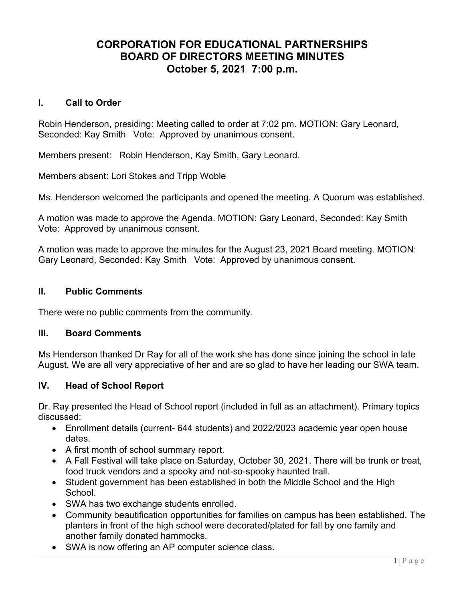# CORPORATION FOR EDUCATIONAL PARTNERSHIPS BOARD OF DIRECTORS MEETING MINUTES October 5, 2021 7:00 p.m.

# I. Call to Order

Robin Henderson, presiding: Meeting called to order at 7:02 pm. MOTION: Gary Leonard, Seconded: Kay Smith Vote: Approved by unanimous consent.

Members present: Robin Henderson, Kay Smith, Gary Leonard.

Members absent: Lori Stokes and Tripp Woble

Ms. Henderson welcomed the participants and opened the meeting. A Quorum was established.

A motion was made to approve the Agenda. MOTION: Gary Leonard, Seconded: Kay Smith Vote: Approved by unanimous consent.

A motion was made to approve the minutes for the August 23, 2021 Board meeting. MOTION: Gary Leonard, Seconded: Kay Smith Vote: Approved by unanimous consent.

# II. Public Comments

There were no public comments from the community.

# III. Board Comments

Ms Henderson thanked Dr Ray for all of the work she has done since joining the school in late August. We are all very appreciative of her and are so glad to have her leading our SWA team.

# IV. Head of School Report

Dr. Ray presented the Head of School report (included in full as an attachment). Primary topics discussed:

- Enrollment details (current- 644 students) and 2022/2023 academic year open house dates.
- A first month of school summary report.
- A Fall Festival will take place on Saturday, October 30, 2021. There will be trunk or treat, food truck vendors and a spooky and not-so-spooky haunted trail.
- Student government has been established in both the Middle School and the High School.
- SWA has two exchange students enrolled.
- Community beautification opportunities for families on campus has been established. The planters in front of the high school were decorated/plated for fall by one family and another family donated hammocks.
- SWA is now offering an AP computer science class.